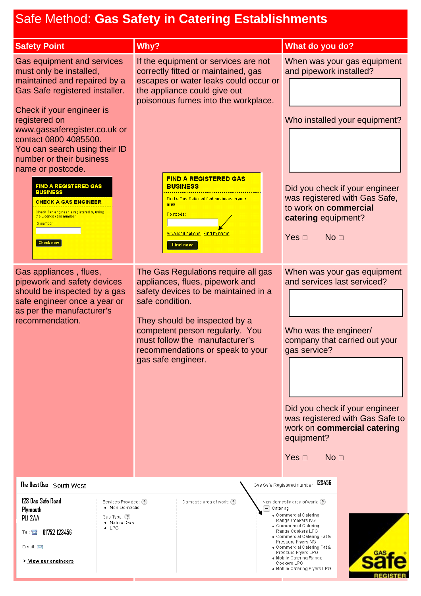## Safe Method: **Gas Safety in Catering Establishments**

| $\alpha$ . The model of $\alpha$ of $\alpha$ is the set of $\alpha$ is the set of $\alpha$                                                                                                                                                                                                                                                                                                                                                                                                                                                                                                                                                                                       |                                                                                                                                                                                                                                                                                                                                                                                                                                                                                                                                                                                                                                                                                      |                                                                                                                                                                                                                                                                                                                                                                                                                                                                                                                                           |
|----------------------------------------------------------------------------------------------------------------------------------------------------------------------------------------------------------------------------------------------------------------------------------------------------------------------------------------------------------------------------------------------------------------------------------------------------------------------------------------------------------------------------------------------------------------------------------------------------------------------------------------------------------------------------------|--------------------------------------------------------------------------------------------------------------------------------------------------------------------------------------------------------------------------------------------------------------------------------------------------------------------------------------------------------------------------------------------------------------------------------------------------------------------------------------------------------------------------------------------------------------------------------------------------------------------------------------------------------------------------------------|-------------------------------------------------------------------------------------------------------------------------------------------------------------------------------------------------------------------------------------------------------------------------------------------------------------------------------------------------------------------------------------------------------------------------------------------------------------------------------------------------------------------------------------------|
| <b>Safety Point</b>                                                                                                                                                                                                                                                                                                                                                                                                                                                                                                                                                                                                                                                              | Why?                                                                                                                                                                                                                                                                                                                                                                                                                                                                                                                                                                                                                                                                                 | What do you do?                                                                                                                                                                                                                                                                                                                                                                                                                                                                                                                           |
| Gas equipment and services<br>must only be installed,<br>maintained and repaired by a<br>Gas Safe registered installer.<br>Check if your engineer is<br>registered on<br>www.gassaferegister.co.uk or<br>contact 0800 4085500.<br>You can search using their ID<br>number or their business<br>name or postcode.<br><b>FIND A REGISTERED GAS</b><br><b>BUSINESS</b><br>CHECK A GAS ENGINEER<br>Check if an engineer is registered by using<br>the Licence card number<br>ID number:<br><b>Check now</b><br>Gas appliances, flues,<br>pipework and safety devices<br>should be inspected by a gas<br>safe engineer once a year or<br>as per the manufacturer's<br>recommendation. | If the equipment or services are not<br>correctly fitted or maintained, gas<br>escapes or water leaks could occur or<br>the appliance could give out<br>poisonous fumes into the workplace.<br><b>FIND A REGISTERED GAS</b><br><b>BUSINESS</b><br>Find a Gas Safe certified business in your<br>area<br>Postcode:<br><u> Advanced options   Find by name</u><br><b>Find now</b><br>The Gas Regulations require all gas<br>appliances, flues, pipework and<br>safety devices to be maintained in a<br>safe condition.<br>They should be inspected by a<br>competent person regularly. You<br>must follow the manufacturer's<br>recommendations or speak to your<br>gas safe engineer. | When was your gas equipment<br>and pipework installed?<br>Who installed your equipment?<br>Did you check if your engineer<br>was registered with Gas Safe,<br>to work on commercial<br>catering equipment?<br>No <sub>1</sub><br>Yes $\Box$<br>When was your gas equipment<br>and services last serviced?<br>Who was the engineer/<br>company that carried out your<br>gas service?<br>Did you check if your engineer<br>was registered with Gas Safe to<br>work on commercial catering<br>equipment?<br>No <sub>1</sub><br>Yes $\square$ |
| The Best Gas South West                                                                                                                                                                                                                                                                                                                                                                                                                                                                                                                                                                                                                                                          |                                                                                                                                                                                                                                                                                                                                                                                                                                                                                                                                                                                                                                                                                      | 123456<br>Gas Safe Registered number                                                                                                                                                                                                                                                                                                                                                                                                                                                                                                      |
| 123 Gas Safe Road<br>Services Provided: (?)<br>• Non-Domestic<br>Plymouth<br>Gas Type: (?)<br>PL1 2AA<br>• Natural Gas<br>$\bullet$ LPG<br>01752 123456<br>Tel: 宫<br>Email: $\boxtimes$<br>> View our engineers                                                                                                                                                                                                                                                                                                                                                                                                                                                                  | Domestic area of work: (?)<br>$-$ Catering                                                                                                                                                                                                                                                                                                                                                                                                                                                                                                                                                                                                                                           | Non-domestic area of work: (?)<br>· Commercial Catering<br>Range Cookers NG<br>• Commercial Catering<br>Range Cookers LPG<br>. Commercial Catering Fat &<br>Pressure Fryers NG<br>• Commercial Catering Fat &<br>Pressure Fryers LPG<br>• Mobile Catering Range<br>Cookers LPG<br>. Mobile Catering Fryers LPG                                                                                                                                                                                                                            |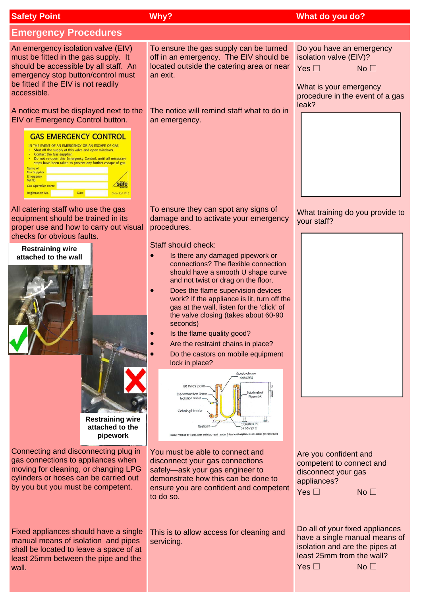| <b>Safety Point</b>                                                                                                                                                                                                                                                                                                                                                                                                                                                                                                                              | Why?                                                                                                                                                                                                                                                                                                                                                                                                                                                                                                                                                                                                                                                                                                                                                                                                   | What do you do?                                                                                                                                                     |
|--------------------------------------------------------------------------------------------------------------------------------------------------------------------------------------------------------------------------------------------------------------------------------------------------------------------------------------------------------------------------------------------------------------------------------------------------------------------------------------------------------------------------------------------------|--------------------------------------------------------------------------------------------------------------------------------------------------------------------------------------------------------------------------------------------------------------------------------------------------------------------------------------------------------------------------------------------------------------------------------------------------------------------------------------------------------------------------------------------------------------------------------------------------------------------------------------------------------------------------------------------------------------------------------------------------------------------------------------------------------|---------------------------------------------------------------------------------------------------------------------------------------------------------------------|
| <b>Emergency Procedures</b>                                                                                                                                                                                                                                                                                                                                                                                                                                                                                                                      |                                                                                                                                                                                                                                                                                                                                                                                                                                                                                                                                                                                                                                                                                                                                                                                                        |                                                                                                                                                                     |
| An emergency isolation valve (EIV)<br>must be fitted in the gas supply. It<br>should be accessible by all staff. An<br>emergency stop button/control must<br>be fitted if the EIV is not readily<br>accessible.                                                                                                                                                                                                                                                                                                                                  | To ensure the gas supply can be turned<br>off in an emergency. The EIV should be<br>located outside the catering area or near<br>an exit.                                                                                                                                                                                                                                                                                                                                                                                                                                                                                                                                                                                                                                                              | Do you have an emergency<br>isolation valve (EIV)?<br>Yes $\square$<br>No <sub>1</sub><br>What is your emergency<br>procedure in the event of a gas                 |
| A notice must be displayed next to the<br>EIV or Emergency Control button.<br><b>GAS EMERGENCY CONTROL</b><br>IN THE EVENT OF AN EMERGENCY OR AN ESCAPE OF GAS<br>• Shut off the supply at this valve and open windows.<br>• Contact the Gas supplier.<br>• Do not re-open this Emergency Control, until all necessary<br>steps have been taken to prevent any further escape of gas.<br>Name of<br><b>Gas Supplier</b><br><b>Emergency</b><br>Tel No.<br>safe<br><b>Gas Operative name</b><br><b>Registration No.</b><br>Date<br>Order Ref: WL5 | The notice will remind staff what to do in<br>an emergency.                                                                                                                                                                                                                                                                                                                                                                                                                                                                                                                                                                                                                                                                                                                                            | leak?                                                                                                                                                               |
| All catering staff who use the gas<br>equipment should be trained in its<br>proper use and how to carry out visual<br>checks for obvious faults.                                                                                                                                                                                                                                                                                                                                                                                                 | To ensure they can spot any signs of<br>damage and to activate your emergency<br>procedures.                                                                                                                                                                                                                                                                                                                                                                                                                                                                                                                                                                                                                                                                                                           | What training do you provide to<br>your staff?                                                                                                                      |
| <b>Restraining wire</b><br>attached to the wall<br><b>Restraining wire</b><br>attached to the<br>pipework                                                                                                                                                                                                                                                                                                                                                                                                                                        | Staff should check:<br>Is there any damaged pipework or<br>connections? The flexible connection<br>should have a smooth U shape curve<br>and not twist or drag on the floor.<br>Does the flame supervision devices<br>work? If the appliance is lit, turn off the<br>gas at the wall, listen for the 'click' of<br>the valve closing (takes about 60-90<br>seconds)<br>Is the flame quality good?<br>Are the restraint chains in place?<br>Do the castors on mobile equipment<br>lock in place?<br>Quick release<br>coupling<br>1/8 th fest point<br>Fabricated<br><b>Disconnection Unio</b><br>Pipework<br><b>Isolation Valve</b><br>Catering Header<br>Culerllex to<br>Restro<br>BS 669 pt 2<br>Correct method of installation with low level header 6 low level appliance connoction (no regulator) |                                                                                                                                                                     |
| Connecting and disconnecting plug in<br>gas connections to appliances when<br>moving for cleaning, or changing LPG<br>cylinders or hoses can be carried out<br>by you but you must be competent.                                                                                                                                                                                                                                                                                                                                                 | You must be able to connect and<br>disconnect your gas connections<br>safely-ask your gas engineer to<br>demonstrate how this can be done to<br>ensure you are confident and competent<br>to do so.                                                                                                                                                                                                                                                                                                                                                                                                                                                                                                                                                                                                    | Are you confident and<br>competent to connect and<br>disconnect your gas<br>appliances?<br>Yes $\square$<br>No <sub>1</sub>                                         |
| Fixed appliances should have a single<br>manual means of isolation and pipes<br>shall be located to leave a space of at<br>least 25mm between the pipe and the<br>wall.                                                                                                                                                                                                                                                                                                                                                                          | This is to allow access for cleaning and<br>servicing.                                                                                                                                                                                                                                                                                                                                                                                                                                                                                                                                                                                                                                                                                                                                                 | Do all of your fixed appliances<br>have a single manual means of<br>isolation and are the pipes at<br>least 25mm from the wall?<br>Yes $\square$<br>No <sub>1</sub> |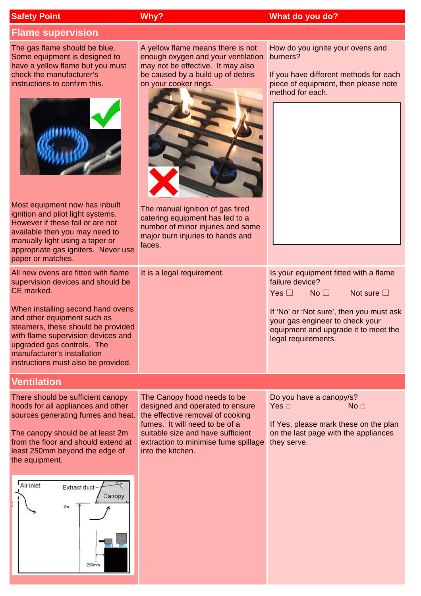| <b>Safety Point</b>                                                                                                                                                                               |                                                                                                                                                                                                                     | Why?                                                                                                                                                                                                                                   | What do you do?                                                                                                                                          |
|---------------------------------------------------------------------------------------------------------------------------------------------------------------------------------------------------|---------------------------------------------------------------------------------------------------------------------------------------------------------------------------------------------------------------------|----------------------------------------------------------------------------------------------------------------------------------------------------------------------------------------------------------------------------------------|----------------------------------------------------------------------------------------------------------------------------------------------------------|
| <b>Flame supervision</b>                                                                                                                                                                          |                                                                                                                                                                                                                     |                                                                                                                                                                                                                                        |                                                                                                                                                          |
| The gas flame should be blue.<br>Some equipment is designed to<br>check the manufacturer's<br>instructions to confirm this.                                                                       | have a yellow flame but you must                                                                                                                                                                                    | A yellow flame means there is not<br>enough oxygen and your ventilation<br>may not be effective. It may also<br>be caused by a build up of debris<br>on your cooker rings.                                                             | How do you ignite your ovens and<br>burners?<br>If you have different methods for each<br>piece of equipment, then please note<br>method for each.       |
| Most equipment now has inbuilt<br>ignition and pilot light systems.<br>However if these fail or are not<br>available then you may need to<br>manually light using a taper or<br>paper or matches. | appropriate gas igniters. Never use                                                                                                                                                                                 | The manual ignition of gas fired<br>catering equipment has led to a<br>number of minor injuries and some<br>major burn injuries to hands and<br>faces.                                                                                 |                                                                                                                                                          |
| CE marked.                                                                                                                                                                                        | All new ovens are fitted with flame<br>supervision devices and should be                                                                                                                                            | It is a legal requirement.                                                                                                                                                                                                             | Is your equipment fitted with a flame<br>failure device?<br>Yes $\square$<br>No <sub>1</sub><br>Not sure $\square$                                       |
| and other equipment such as<br>upgraded gas controls. The<br>manufacturer's installation                                                                                                          | When installing second hand ovens<br>steamers, these should be provided<br>with flame supervision devices and<br>instructions must also be provided.                                                                |                                                                                                                                                                                                                                        | If 'No' or 'Not sure', then you must ask<br>your gas engineer to check your<br>equipment and upgrade it to meet the<br>legal requirements.               |
| <b>Ventilation</b>                                                                                                                                                                                |                                                                                                                                                                                                                     |                                                                                                                                                                                                                                        |                                                                                                                                                          |
| least 250mm beyond the edge of<br>the equipment.<br>Air inlet<br>2m                                                                                                                               | There should be sufficient canopy<br>hoods for all appliances and other<br>sources generating fumes and heat.<br>The canopy should be at least 2m<br>from the floor and should extend at<br>Extract duct-<br>Canopy | The Canopy hood needs to be<br>designed and operated to ensure<br>the effective removal of cooking<br>fumes. It will need to be of a<br>suitable size and have sufficient<br>extraction to minimise fume spillage<br>into the kitchen. | Do you have a canopy/s?<br>Yes $\Box$<br>No <sub>1</sub><br>If Yes, please mark these on the plan<br>on the last page with the appliances<br>they serve. |
|                                                                                                                                                                                                   | 250mm                                                                                                                                                                                                               |                                                                                                                                                                                                                                        |                                                                                                                                                          |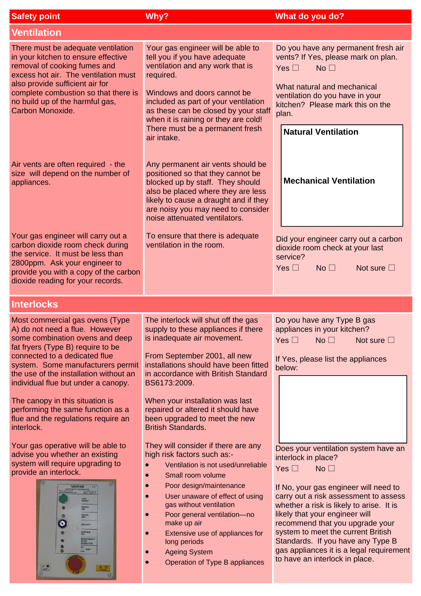| <b>Safety point</b>                                                                                                                                                                                                                                                                 | Why?                                                                                                                                                                                                                                                                                                                                                                              | What do you do?                                                                                                                                                                                                                                                                                                                                                                                                                                             |
|-------------------------------------------------------------------------------------------------------------------------------------------------------------------------------------------------------------------------------------------------------------------------------------|-----------------------------------------------------------------------------------------------------------------------------------------------------------------------------------------------------------------------------------------------------------------------------------------------------------------------------------------------------------------------------------|-------------------------------------------------------------------------------------------------------------------------------------------------------------------------------------------------------------------------------------------------------------------------------------------------------------------------------------------------------------------------------------------------------------------------------------------------------------|
| <b>Ventilation</b>                                                                                                                                                                                                                                                                  |                                                                                                                                                                                                                                                                                                                                                                                   |                                                                                                                                                                                                                                                                                                                                                                                                                                                             |
| There must be adequate ventilation<br>in your kitchen to ensure effective<br>removal of cooking fumes and<br>excess hot air. The ventilation must<br>also provide sufficient air for<br>complete combustion so that there is<br>no build up of the harmful gas,<br>Carbon Monoxide. | Your gas engineer will be able to<br>tell you if you have adequate<br>ventilation and any work that is<br>required.<br>Windows and doors cannot be<br>included as part of your ventilation<br>as these can be closed by your staff<br>when it is raining or they are cold!                                                                                                        | Do you have any permanent fresh air<br>vents? If Yes, please mark on plan.<br>Yes $\square$<br>No <sub>1</sub><br>What natural and mechanical<br>ventilation do you have in your<br>kitchen? Please mark this on the<br>plan.                                                                                                                                                                                                                               |
| Air vents are often required - the<br>size will depend on the number of<br>appliances.                                                                                                                                                                                              | There must be a permanent fresh<br>air intake.<br>Any permanent air vents should be<br>positioned so that they cannot be<br>blocked up by staff. They should<br>also be placed where they are less<br>likely to cause a draught and if they<br>are noisy you may need to consider<br>noise attenuated ventilators.                                                                | <b>Natural Ventilation</b><br><b>Mechanical Ventilation</b>                                                                                                                                                                                                                                                                                                                                                                                                 |
| Your gas engineer will carry out a<br>carbon dioxide room check during<br>the service. It must be less than<br>2800ppm. Ask your engineer to<br>provide you with a copy of the carbon<br>dioxide reading for your records.                                                          | To ensure that there is adequate<br>ventilation in the room.                                                                                                                                                                                                                                                                                                                      | Did your engineer carry out a carbon<br>dioxide room check at your last<br>service?<br>Yes $\square$<br>No <sub>1</sub><br>Not sure $\square$                                                                                                                                                                                                                                                                                                               |
| <b>Interlocks</b>                                                                                                                                                                                                                                                                   |                                                                                                                                                                                                                                                                                                                                                                                   |                                                                                                                                                                                                                                                                                                                                                                                                                                                             |
| Most commercial gas ovens (Type<br>A) do not need a flue. However<br>some combination ovens and deep<br>fat fryers (Type B) require to be<br>connected to a dedicated flue<br>system. Some manufacturers permit<br>the use of the installation without an                           | The interlock will shut off the gas<br>supply to these appliances if there<br>is inadequate air movement.<br>From September 2001, all new<br>installations should have been fitted<br>in accordance with British Standard                                                                                                                                                         | Do you have any Type B gas<br>appliances in your kitchen?<br>Yes $\square$<br>No <sub>1</sub><br>Not sure $\square$<br>If Yes, please list the appliances<br>below:                                                                                                                                                                                                                                                                                         |
| individual flue but under a canopy.<br>The canopy in this situation is<br>performing the same function as a<br>flue and the regulations require an<br>interlock.                                                                                                                    | BS6173:2009.<br>When your installation was last<br>repaired or altered it should have<br>been upgraded to meet the new<br><b>British Standards.</b>                                                                                                                                                                                                                               |                                                                                                                                                                                                                                                                                                                                                                                                                                                             |
| Your gas operative will be able to<br>advise you whether an existing<br>system will require upgrading to<br>provide an interlock.<br><b>VENTAM</b><br>GAS<br>REGET<br><b>FANCE</b><br>FAN(S)<br>0<br><b>BERVICE</b><br>SERVICE<br>TOP<br>JPERATED<br>$-0.45$                        | They will consider if there are any<br>high risk factors such as:-<br>Ventilation is not used/unreliable<br>Small room volume<br>Poor design/maintenance<br>User unaware of effect of using<br>gas without ventilation<br>Poor general ventilation-no<br>make up air<br>Extensive use of appliances for<br>long periods<br><b>Ageing System</b><br>Operation of Type B appliances | Does your ventilation system have an<br>interlock in place?<br>Yes $\square$<br>No <sub>1</sub><br>If No, your gas engineer will need to<br>carry out a risk assessment to assess<br>whether a risk is likely to arise. It is<br>likely that your engineer will<br>recommend that you upgrade your<br>system to meet the current British<br>Standards. If you have any Type B<br>gas appliances it is a legal requirement<br>to have an interlock in place. |